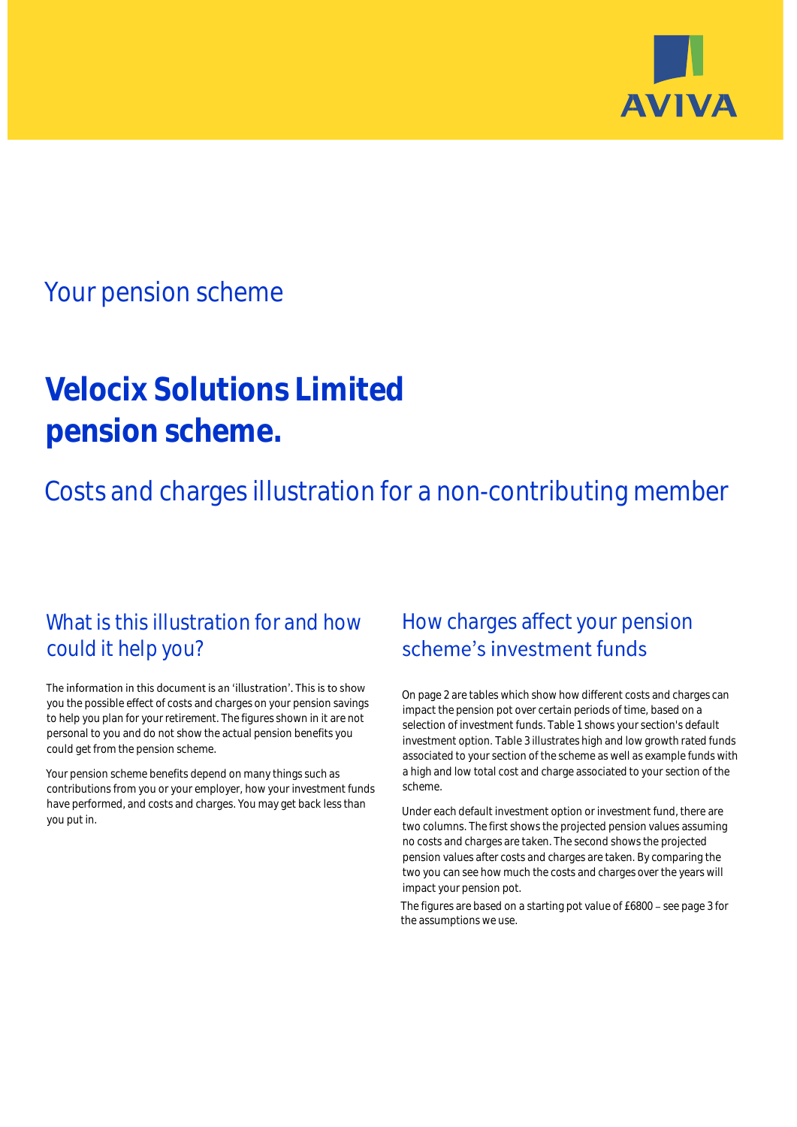

# Your pension scheme

# **Velocix Solutions Limited pension scheme.**

Costs and charges illustration for a non-contributing member

# What is this illustration for and how could it help you?

### The information in this document is an 'illustration'. This is to show you the possible effect of costs and charges on your pension savings to help you plan for your retirement. The figures shown in it are not personal to you and do not show the actual pension benefits you could get from the pension scheme.

Your pension scheme benefits depend on many things such as contributions from you or your employer, how your investment funds have performed, and costs and charges. You may get back less than you put in.

# How charges affect your pension scheme's investment funds

On page 2 are tables which show how different costs and charges can impact the pension pot over certain periods of time, based on a selection of investment funds. Table 1 shows your section's default investment option. Table 3 illustrates high and low growth rated funds associated to your section of the scheme as well as example funds with a high and low total cost and charge associated to your section of the scheme.

Under each default investment option or investment fund, there are two columns. The first shows the projected pension values assuming no costs and charges are taken. The second shows the projected pension values after costs and charges are taken. By comparing the two you can see how much the costs and charges over the years will impact your pension pot.

The figures are based on a starting pot value of £6800 - see page 3 for the assumptions we use.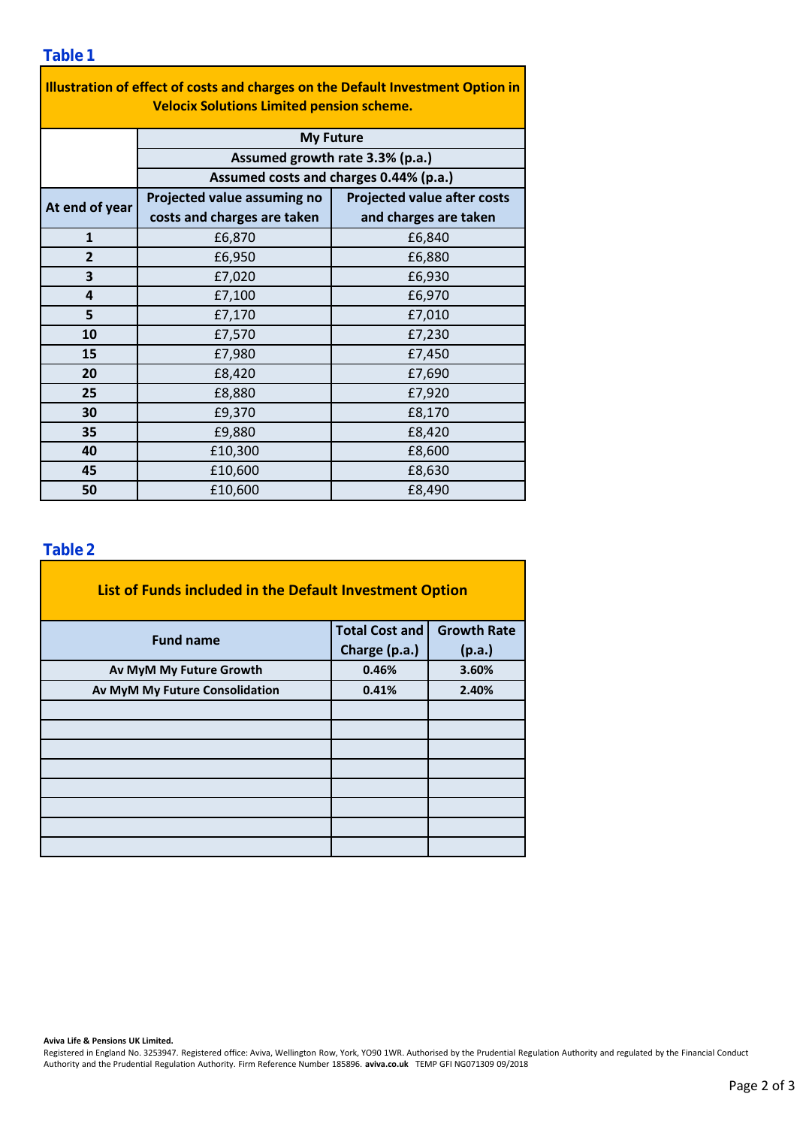| Illustration of effect of costs and charges on the Default Investment Option in |                                                                           |                                    |  |  |  |  |  |  |  |
|---------------------------------------------------------------------------------|---------------------------------------------------------------------------|------------------------------------|--|--|--|--|--|--|--|
| <b>Velocix Solutions Limited pension scheme.</b>                                |                                                                           |                                    |  |  |  |  |  |  |  |
|                                                                                 | <b>My Future</b>                                                          |                                    |  |  |  |  |  |  |  |
|                                                                                 | Assumed growth rate 3.3% (p.a.)<br>Assumed costs and charges 0.44% (p.a.) |                                    |  |  |  |  |  |  |  |
|                                                                                 |                                                                           |                                    |  |  |  |  |  |  |  |
| At end of year                                                                  | Projected value assuming no                                               | <b>Projected value after costs</b> |  |  |  |  |  |  |  |
|                                                                                 | costs and charges are taken                                               | and charges are taken              |  |  |  |  |  |  |  |
| $\mathbf{1}$                                                                    | £6,870                                                                    | £6,840                             |  |  |  |  |  |  |  |
| $\overline{2}$                                                                  | £6,950                                                                    | £6,880                             |  |  |  |  |  |  |  |
| 3                                                                               | £7,020                                                                    | £6,930                             |  |  |  |  |  |  |  |
| 4                                                                               | £7,100                                                                    | £6,970                             |  |  |  |  |  |  |  |
| 5                                                                               | £7,170                                                                    | £7,010                             |  |  |  |  |  |  |  |
| 10                                                                              | £7,570                                                                    | £7,230                             |  |  |  |  |  |  |  |
| 15                                                                              | £7,980                                                                    | £7,450                             |  |  |  |  |  |  |  |
| 20                                                                              | £8,420                                                                    | £7,690                             |  |  |  |  |  |  |  |
| 25                                                                              | £8,880                                                                    | £7,920                             |  |  |  |  |  |  |  |
| 30                                                                              | £9,370                                                                    | £8,170                             |  |  |  |  |  |  |  |
| 35                                                                              | £9,880                                                                    | £8,420                             |  |  |  |  |  |  |  |
| 40                                                                              | £10,300                                                                   | £8,600                             |  |  |  |  |  |  |  |
| 45                                                                              | £10,600                                                                   | £8,630                             |  |  |  |  |  |  |  |
| 50                                                                              | £10,600                                                                   | £8,490                             |  |  |  |  |  |  |  |

### **Table 2**

| List of Funds included in the Default Investment Option |                       |                    |  |  |  |  |  |  |
|---------------------------------------------------------|-----------------------|--------------------|--|--|--|--|--|--|
| <b>Fund name</b>                                        | <b>Total Cost and</b> | <b>Growth Rate</b> |  |  |  |  |  |  |
|                                                         | Charge (p.a.)         | (p.a.)             |  |  |  |  |  |  |
| Av MyM My Future Growth                                 | 0.46%                 | 3.60%              |  |  |  |  |  |  |
| Av MyM My Future Consolidation                          | 0.41%                 | 2.40%              |  |  |  |  |  |  |
|                                                         |                       |                    |  |  |  |  |  |  |
|                                                         |                       |                    |  |  |  |  |  |  |
|                                                         |                       |                    |  |  |  |  |  |  |
|                                                         |                       |                    |  |  |  |  |  |  |
|                                                         |                       |                    |  |  |  |  |  |  |
|                                                         |                       |                    |  |  |  |  |  |  |
|                                                         |                       |                    |  |  |  |  |  |  |
|                                                         |                       |                    |  |  |  |  |  |  |

#### **Aviva Life & Pensions UK Limited.**

Registered in England No. 3253947. Registered office: Aviva, Wellington Row, York, YO90 1WR. Authorised by the Prudential Regulation Authority and regulated by the Financial Conduct Authority and the Prudential Regulation Authority. Firm Reference Number 185896. **aviva.co.uk** TEMP GFI NG071309 09/2018